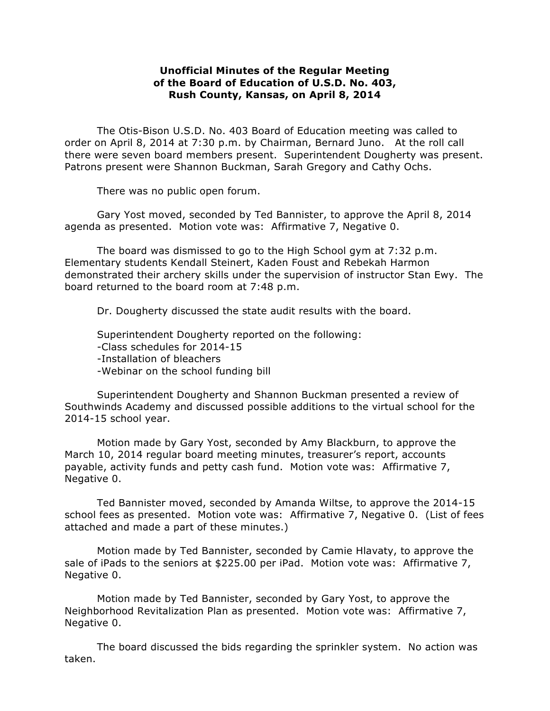## **Unofficial Minutes of the Regular Meeting of the Board of Education of U.S.D. No. 403, Rush County, Kansas, on April 8, 2014**

The Otis-Bison U.S.D. No. 403 Board of Education meeting was called to order on April 8, 2014 at 7:30 p.m. by Chairman, Bernard Juno. At the roll call there were seven board members present. Superintendent Dougherty was present. Patrons present were Shannon Buckman, Sarah Gregory and Cathy Ochs.

There was no public open forum.

Gary Yost moved, seconded by Ted Bannister, to approve the April 8, 2014 agenda as presented. Motion vote was: Affirmative 7, Negative 0.

The board was dismissed to go to the High School gym at 7:32 p.m. Elementary students Kendall Steinert, Kaden Foust and Rebekah Harmon demonstrated their archery skills under the supervision of instructor Stan Ewy. The board returned to the board room at 7:48 p.m.

Dr. Dougherty discussed the state audit results with the board.

Superintendent Dougherty reported on the following: -Class schedules for 2014-15 -Installation of bleachers -Webinar on the school funding bill

Superintendent Dougherty and Shannon Buckman presented a review of Southwinds Academy and discussed possible additions to the virtual school for the 2014-15 school year.

Motion made by Gary Yost, seconded by Amy Blackburn, to approve the March 10, 2014 regular board meeting minutes, treasurer's report, accounts payable, activity funds and petty cash fund. Motion vote was: Affirmative 7, Negative 0.

Ted Bannister moved, seconded by Amanda Wiltse, to approve the 2014-15 school fees as presented. Motion vote was: Affirmative 7, Negative 0. (List of fees attached and made a part of these minutes.)

Motion made by Ted Bannister, seconded by Camie Hlavaty, to approve the sale of iPads to the seniors at \$225.00 per iPad. Motion vote was: Affirmative 7, Negative 0.

Motion made by Ted Bannister, seconded by Gary Yost, to approve the Neighborhood Revitalization Plan as presented. Motion vote was: Affirmative 7, Negative 0.

The board discussed the bids regarding the sprinkler system. No action was taken.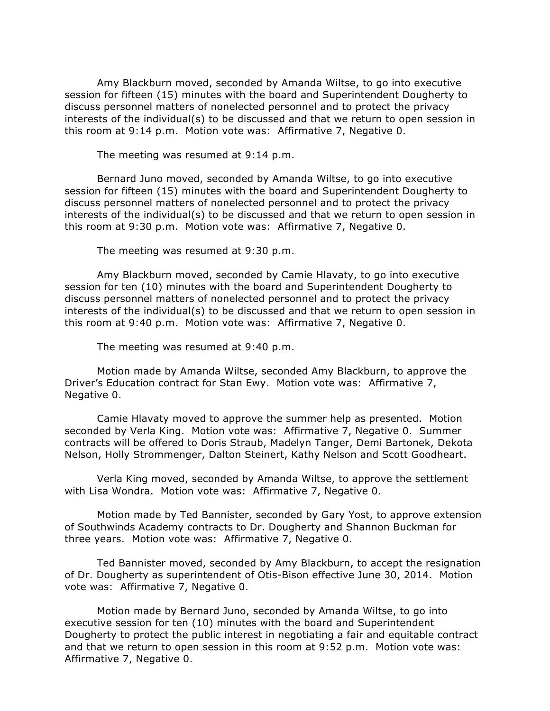Amy Blackburn moved, seconded by Amanda Wiltse, to go into executive session for fifteen (15) minutes with the board and Superintendent Dougherty to discuss personnel matters of nonelected personnel and to protect the privacy interests of the individual(s) to be discussed and that we return to open session in this room at 9:14 p.m. Motion vote was: Affirmative 7, Negative 0.

The meeting was resumed at 9:14 p.m.

Bernard Juno moved, seconded by Amanda Wiltse, to go into executive session for fifteen (15) minutes with the board and Superintendent Dougherty to discuss personnel matters of nonelected personnel and to protect the privacy interests of the individual(s) to be discussed and that we return to open session in this room at 9:30 p.m. Motion vote was: Affirmative 7, Negative 0.

The meeting was resumed at 9:30 p.m.

Amy Blackburn moved, seconded by Camie Hlavaty, to go into executive session for ten (10) minutes with the board and Superintendent Dougherty to discuss personnel matters of nonelected personnel and to protect the privacy interests of the individual(s) to be discussed and that we return to open session in this room at 9:40 p.m. Motion vote was: Affirmative 7, Negative 0.

The meeting was resumed at 9:40 p.m.

Motion made by Amanda Wiltse, seconded Amy Blackburn, to approve the Driver's Education contract for Stan Ewy. Motion vote was: Affirmative 7, Negative 0.

Camie Hlavaty moved to approve the summer help as presented. Motion seconded by Verla King. Motion vote was: Affirmative 7, Negative 0. Summer contracts will be offered to Doris Straub, Madelyn Tanger, Demi Bartonek, Dekota Nelson, Holly Strommenger, Dalton Steinert, Kathy Nelson and Scott Goodheart.

Verla King moved, seconded by Amanda Wiltse, to approve the settlement with Lisa Wondra. Motion vote was: Affirmative 7, Negative 0.

Motion made by Ted Bannister, seconded by Gary Yost, to approve extension of Southwinds Academy contracts to Dr. Dougherty and Shannon Buckman for three years. Motion vote was: Affirmative 7, Negative 0.

Ted Bannister moved, seconded by Amy Blackburn, to accept the resignation of Dr. Dougherty as superintendent of Otis-Bison effective June 30, 2014. Motion vote was: Affirmative 7, Negative 0.

Motion made by Bernard Juno, seconded by Amanda Wiltse, to go into executive session for ten (10) minutes with the board and Superintendent Dougherty to protect the public interest in negotiating a fair and equitable contract and that we return to open session in this room at 9:52 p.m. Motion vote was: Affirmative 7, Negative 0.